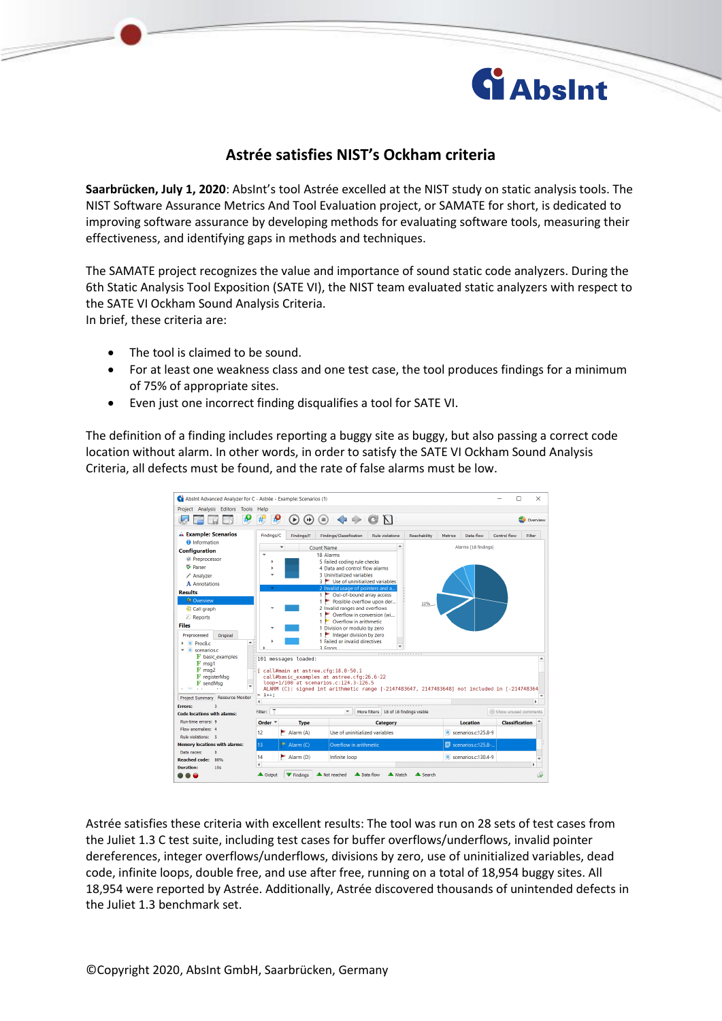

## **Astrée satisfies NIST's Ockham criteria**

**Saarbrücken, July 1, 2020**: AbsInt's tool Astrée excelled at the NIST study on static analysis tools. The NIST Software Assurance Metrics And Tool Evaluation project, or SAMATE for short, is dedicated to improving software assurance by developing methods for evaluating software tools, measuring their effectiveness, and identifying gaps in methods and techniques.

The SAMATE project recognizes the value and importance of sound static code analyzers. During the 6th Static Analysis Tool Exposition (SATE VI), the NIST team evaluated static analyzers with respect to the SATE VI Ockham Sound Analysis Criteria. In brief, these criteria are:

- The tool is claimed to be sound.
- For at least one weakness class and one test case, the tool produces findings for a minimum of 75% of appropriate sites.
- Even just one incorrect finding disqualifies a tool for SATE VI.

The definition of a finding includes reporting a buggy site as buggy, but also passing a correct code location without alarm. In other words, in order to satisfy the SATE VI Ockham Sound Analysis Criteria, all defects must be found, and the rate of false alarms must be low.

| Absint Advanced Analyzer for C - Astrée - Example: Scenarios (1)<br>×<br>п<br>Project Analysis Editors Tools Help                                                                                                                                                             |                                                                                                                                           |                                                               |                                |                        |              |                                   |                        |  |
|-------------------------------------------------------------------------------------------------------------------------------------------------------------------------------------------------------------------------------------------------------------------------------|-------------------------------------------------------------------------------------------------------------------------------------------|---------------------------------------------------------------|--------------------------------|------------------------|--------------|-----------------------------------|------------------------|--|
| ₽<br>N<br>Æ<br>井<br>₩<br>⋗<br>Overview                                                                                                                                                                                                                                        |                                                                                                                                           |                                                               |                                |                        |              |                                   |                        |  |
| <b>A Example: Scenarios</b>                                                                                                                                                                                                                                                   | Findings/C                                                                                                                                | Findings/F                                                    | Findings/Classification        | <b>Rule violations</b> | Reachability | Metrics<br>Data flow              | Control flow<br>Filter |  |
| <b>O</b> Information<br><b>Configuration</b>                                                                                                                                                                                                                                  |                                                                                                                                           | $\checkmark$<br><b>Count Name</b>                             |                                | $\blacktriangle$       |              | Alarms (18 findings)              |                        |  |
| <b>Preprocessor</b>                                                                                                                                                                                                                                                           | 18 Alarms                                                                                                                                 |                                                               |                                |                        |              |                                   |                        |  |
| <b>S</b> Parser                                                                                                                                                                                                                                                               |                                                                                                                                           | 5 Failed coding rule checks<br>4 Data and control flow alarms |                                |                        |              |                                   |                        |  |
| Analyzer                                                                                                                                                                                                                                                                      | 3 Uninitialized variables                                                                                                                 |                                                               |                                |                        |              |                                   |                        |  |
| A Annotations                                                                                                                                                                                                                                                                 | 3 Use of uninitialized variables                                                                                                          |                                                               |                                |                        |              |                                   |                        |  |
| <b>Results</b><br><b>3</b> Overview<br>Call graph                                                                                                                                                                                                                             | 2 Invalid usage of pointers and a<br>1 Out-of-bound array access<br>1 Possible overflow upon der<br>11%<br>2 Invalid ranges and overflows |                                                               |                                |                        |              |                                   |                        |  |
| <b>Z</b> Reports                                                                                                                                                                                                                                                              | 1 Overflow in conversion (wi                                                                                                              |                                                               |                                |                        |              |                                   |                        |  |
| <b>Files</b>                                                                                                                                                                                                                                                                  | Overflow in arithmetic<br>1.<br>1 Division or modulo by zero                                                                              |                                                               |                                |                        |              |                                   |                        |  |
| Preprocessed<br>Original                                                                                                                                                                                                                                                      | $1$ $\blacktriangleright$ Integer division by zero                                                                                        |                                                               |                                |                        |              |                                   |                        |  |
| $\overline{\phantom{a}}$<br>Proc8.c<br>井<br>scenarios.c                                                                                                                                                                                                                       | 1 Failed or invalid directives<br><b>3 Errors</b>                                                                                         |                                                               |                                |                        |              |                                   |                        |  |
| $\mathbf F$ basic examples<br>$F$ msq1                                                                                                                                                                                                                                        | 101 messages loaded:                                                                                                                      |                                                               |                                |                        |              |                                   |                        |  |
| $F$ msq2<br>[ call#main at astree.cfg:18.0-50.1<br>$\mathbf F$ registerMsg<br>call#basic examples at astree.cfg:26.6-22<br>loop=1/100 at scenarios.c:124.3-126.5<br>F sendMsa<br>ALARM (C): signed int arithmetic range [-2147483647, 2147483648] not included in [-214748364 |                                                                                                                                           |                                                               |                                |                        |              |                                   |                        |  |
| $> i++$<br><b>Resource Monitor</b><br><b>Project Summary</b><br>k<br>$\blacktriangleleft$                                                                                                                                                                                     |                                                                                                                                           |                                                               |                                |                        |              |                                   |                        |  |
| <b>Frrors:</b><br>۹<br>$\sqrt{2}$<br>(+) Show unused comments<br>Filter:<br>$\mathbf{v}$<br>More filters   18 of 18 findings visible<br><b>Code locations with alarms:</b>                                                                                                    |                                                                                                                                           |                                                               |                                |                        |              |                                   |                        |  |
| Run-time errors: 9                                                                                                                                                                                                                                                            | Order $\overline{ }$                                                                                                                      | <b>Type</b>                                                   |                                | Category               |              | <b>Location</b>                   | <b>Classification</b>  |  |
| Flow anomalies: 4                                                                                                                                                                                                                                                             | 12                                                                                                                                        | $=$ Alarm (A)                                                 | Use of uninitialized variables |                        |              | # scenarios.c:125.8-9             |                        |  |
| <b>Rule violations: 5</b>                                                                                                                                                                                                                                                     |                                                                                                                                           |                                                               |                                |                        |              |                                   |                        |  |
| <b>Memory locations with alarms:</b><br>Data races:<br>$\mathbf{a}$                                                                                                                                                                                                           | 13                                                                                                                                        | $=$ Alarm (C)                                                 | Overflow in arithmetic         |                        |              | $\blacksquare$ scenarios.c:125.8- |                        |  |
| <b>Reached code:</b><br>86%                                                                                                                                                                                                                                                   | 14                                                                                                                                        | Alarm (D)<br>Infinite loop                                    |                                |                        |              | # scenarios.c:130.4-9             |                        |  |
| <b>Duration:</b><br>10 <sub>s</sub>                                                                                                                                                                                                                                           | €<br>r                                                                                                                                    |                                                               |                                |                        |              |                                   |                        |  |
| <b>A</b> Output<br>Not reached<br><b>A</b> Data flow<br><b>A</b> Watch<br>▲ Search<br>▼ Findings<br>0                                                                                                                                                                         |                                                                                                                                           |                                                               |                                |                        |              |                                   |                        |  |

Astrée satisfies these criteria with excellent results: The tool was run on 28 sets of test cases from the Juliet 1.3 C test suite, including test cases for buffer overflows/underflows, invalid pointer dereferences, integer overflows/underflows, divisions by zero, use of uninitialized variables, dead code, infinite loops, double free, and use after free, running on a total of 18,954 buggy sites. All 18,954 were reported by Astrée. Additionally, Astrée discovered thousands of unintended defects in the Juliet 1.3 benchmark set.